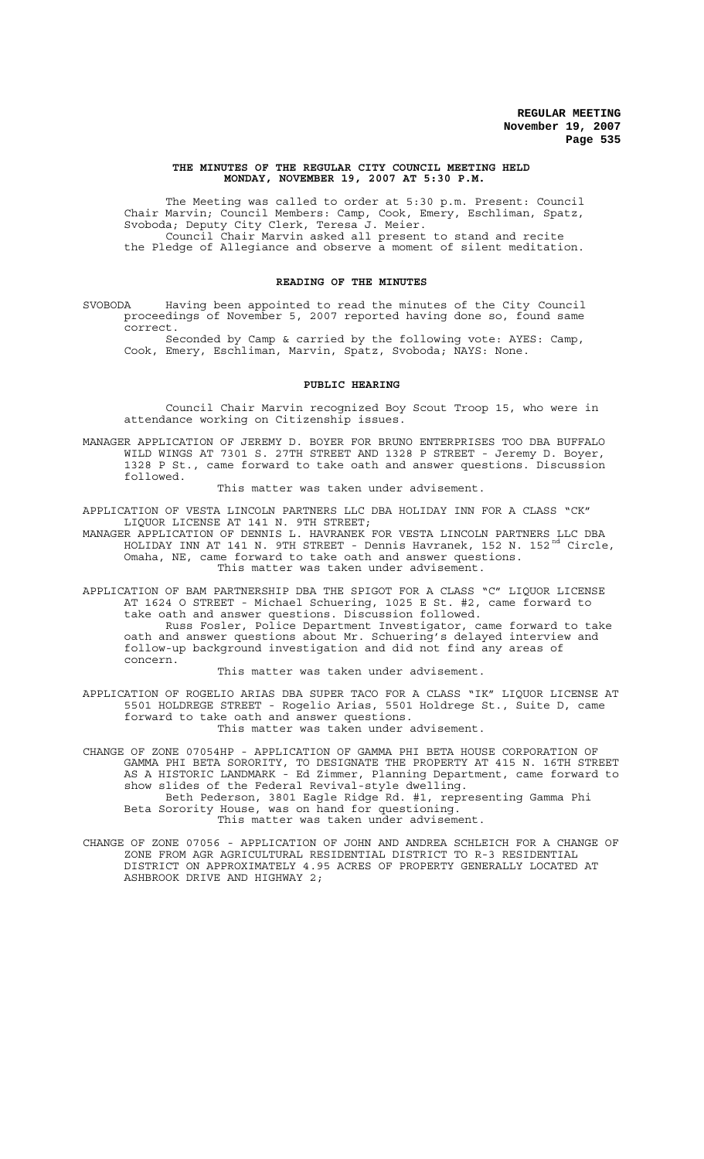#### **THE MINUTES OF THE REGULAR CITY COUNCIL MEETING HELD MONDAY, NOVEMBER 19, 2007 AT 5:30 P.M.**

The Meeting was called to order at 5:30 p.m. Present: Council Chair Marvin; Council Members: Camp, Cook, Emery, Eschliman, Spatz, Svoboda; Deputy City Clerk, Teresa J. Meier. Council Chair Marvin asked all present to stand and recite the Pledge of Allegiance and observe a moment of silent meditation.

#### **READING OF THE MINUTES**

SVOBODA Having been appointed to read the minutes of the City Council proceedings of November 5, 2007 reported having done so, found same correct.

Seconded by Camp & carried by the following vote: AYES: Camp, Cook, Emery, Eschliman, Marvin, Spatz, Svoboda; NAYS: None.

## **PUBLIC HEARING**

Council Chair Marvin recognized Boy Scout Troop 15, who were in attendance working on Citizenship issues.

MANAGER APPLICATION OF JEREMY D. BOYER FOR BRUNO ENTERPRISES TOO DBA BUFFALO WILD WINGS AT 7301 S. 27TH STREET AND 1328 P STREET - Jeremy D. Boyer, 1328 P St., came forward to take oath and answer questions. Discussion followed.

This matter was taken under advisement.

APPLICATION OF VESTA LINCOLN PARTNERS LLC DBA HOLIDAY INN FOR A CLASS "CK" LIQUOR LICENSE AT 141 N. 9TH STREET;

MANAGER APPLICATION OF DENNIS L. HAVRANEK FOR VESTA LINCOLN PARTNERS LLC DBA HOLIDAY INN AT 141 N. 9TH STREET - Dennis Havranek, 152 N. 152<sup>nd</sup> Circle, Omaha, NE, came forward to take oath and answer questions. This matter was taken under advisement.

APPLICATION OF BAM PARTNERSHIP DBA THE SPIGOT FOR A CLASS "C" LIQUOR LICENSE AT 1624 O STREET - Michael Schuering, 1025 E St. #2, came forward to take oath and answer questions. Discussion followed.

Russ Fosler, Police Department Investigator, came forward to take oath and answer questions about Mr. Schuering's delayed interview and follow-up background investigation and did not find any areas of concern.

This matter was taken under advisement.

APPLICATION OF ROGELIO ARIAS DBA SUPER TACO FOR A CLASS "IK" LIQUOR LICENSE AT 5501 HOLDREGE STREET - Rogelio Arias, 5501 Holdrege St., Suite D, came forward to take oath and answer questions. This matter was taken under advisement.

CHANGE OF ZONE 07054HP - APPLICATION OF GAMMA PHI BETA HOUSE CORPORATION OF GAMMA PHI BETA SORORITY, TO DESIGNATE THE PROPERTY AT 415 N. 16TH STREET AS A HISTORIC LANDMARK - Ed Zimmer, Planning Department, came forward to show slides of the Federal Revival-style dwelling. Beth Pederson, 3801 Eagle Ridge Rd. #1, representing Gamma Phi

Beta Sorority House, was on hand for questioning. This matter was taken under advisement.

CHANGE OF ZONE 07056 - APPLICATION OF JOHN AND ANDREA SCHLEICH FOR A CHANGE OF ZONE FROM AGR AGRICULTURAL RESIDENTIAL DISTRICT TO R-3 RESIDENTIAL DISTRICT ON APPROXIMATELY 4.95 ACRES OF PROPERTY GENERALLY LOCATED AT ASHBROOK DRIVE AND HIGHWAY 2;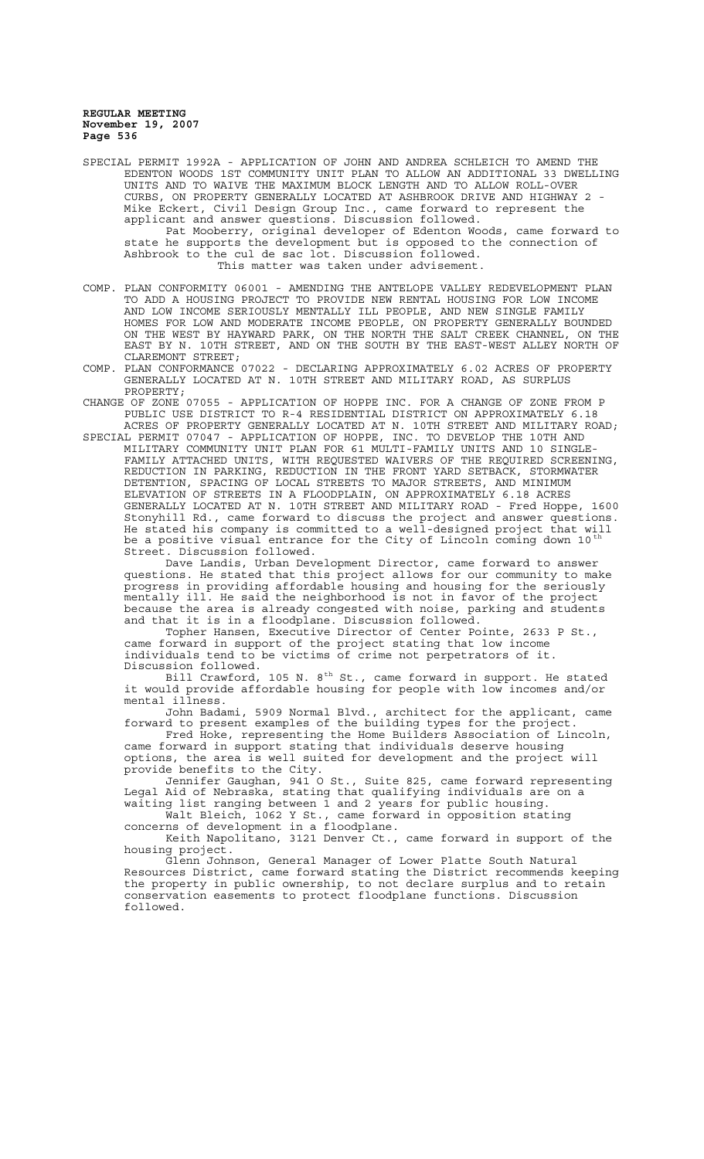SPECIAL PERMIT 1992A - APPLICATION OF JOHN AND ANDREA SCHLEICH TO AMEND THE EDENTON WOODS 1ST COMMUNITY UNIT PLAN TO ALLOW AN ADDITIONAL 33 DWELLING UNITS AND TO WAIVE THE MAXIMUM BLOCK LENGTH AND TO ALLOW ROLL-OVER CURBS, ON PROPERTY GENERALLY LOCATED AT ASHBROOK DRIVE AND HIGHWAY 2 Mike Eckert, Civil Design Group Inc., came forward to represent the applicant and answer questions. Discussion followed. Pat Mooberry, original developer of Edenton Woods, came forward to state he supports the development but is opposed to the connection of Ashbrook to the cul de sac lot. Discussion followed. This matter was taken under advisement.

COMP. PLAN CONFORMITY 06001 - AMENDING THE ANTELOPE VALLEY REDEVELOPMENT PLAN TO ADD A HOUSING PROJECT TO PROVIDE NEW RENTAL HOUSING FOR LOW INCOME AND LOW INCOME SERIOUSLY MENTALLY ILL PEOPLE, AND NEW SINGLE FAMILY HOMES FOR LOW AND MODERATE INCOME PEOPLE, ON PROPERTY GENERALLY BOUNDED ON THE WEST BY HAYWARD PARK, ON THE NORTH THE SALT CREEK CHANNEL, ON THE EAST BY N. 10TH STREET, AND ON THE SOUTH BY THE EAST-WEST ALLEY NORTH OF CLAREMONT STREET;

COMP. PLAN CONFORMANCE 07022 - DECLARING APPROXIMATELY 6.02 ACRES OF PROPERTY GENERALLY LOCATED AT N. 10TH STREET AND MILITARY ROAD, AS SURPLUS PROPERTY;

CHANGE OF ZONE 07055 - APPLICATION OF HOPPE INC. FOR A CHANGE OF ZONE FROM P PUBLIC USE DISTRICT TO R-4 RESIDENTIAL DISTRICT ON APPROXIMATELY 6.18 ACRES OF PROPERTY GENERALLY LOCATED AT N. 10TH STREET AND MILITARY ROAD;

SPECIAL PERMIT 07047 - APPLICATION OF HOPPE, INC. TO DEVELOP THE 10TH AND MILITARY COMMUNITY UNIT PLAN FOR 61 MULTI-FAMILY UNITS AND 10 SINGLE-FAMILY ATTACHED UNITS, WITH REQUESTED WAIVERS OF THE REQUIRED SCREENING, REDUCTION IN PARKING, REDUCTION IN THE FRONT YARD SETBACK, STORMWATER DETENTION, SPACING OF LOCAL STREETS TO MAJOR STREETS, AND MINIMUM ELEVATION OF STREETS IN A FLOODPLAIN, ON APPROXIMATELY 6.18 ACRES GENERALLY LOCATED AT N. 10TH STREET AND MILITARY ROAD - Fred Hoppe, 1600 Stonyhill Rd., came forward to discuss the project and answer questions. He stated his company is committed to a well-designed project that will be a positive visual entrance for the City of Lincoln coming down 10<sup>th</sup> Street. Discussion followed.

Dave Landis, Urban Development Director, came forward to answer questions. He stated that this project allows for our community to make progress in providing affordable housing and housing for the seriously mentally ill. He said the neighborhood is not in favor of the project because the area is already congested with noise, parking and students and that it is in a floodplane. Discussion followed.

Topher Hansen, Executive Director of Center Pointe, 2633 P St., came forward in support of the project stating that low income individuals tend to be victims of crime not perpetrators of it. Discussion followed.

Bill Crawford, 105 N.  $8^{\rm th}$  St., came forward in support. He stated it would provide affordable housing for people with low incomes and/or mental illness.

John Badami, 5909 Normal Blvd., architect for the applicant, came forward to present examples of the building types for the project.

Fred Hoke, representing the Home Builders Association of Lincoln, came forward in support stating that individuals deserve housing options, the area is well suited for development and the project will provide benefits to the City.

Jennifer Gaughan, 941 O St., Suite 825, came forward representing Legal Aid of Nebraska, stating that qualifying individuals are on a waiting list ranging between 1 and 2 years for public housing.

Walt Bleich, 1062 Y St., came forward in opposition stating concerns of development in a floodplane.

Keith Napolitano, 3121 Denver Ct., came forward in support of the housing project.

Glenn Johnson, General Manager of Lower Platte South Natural Resources District, came forward stating the District recommends keeping the property in public ownership, to not declare surplus and to retain conservation easements to protect floodplane functions. Discussion followed.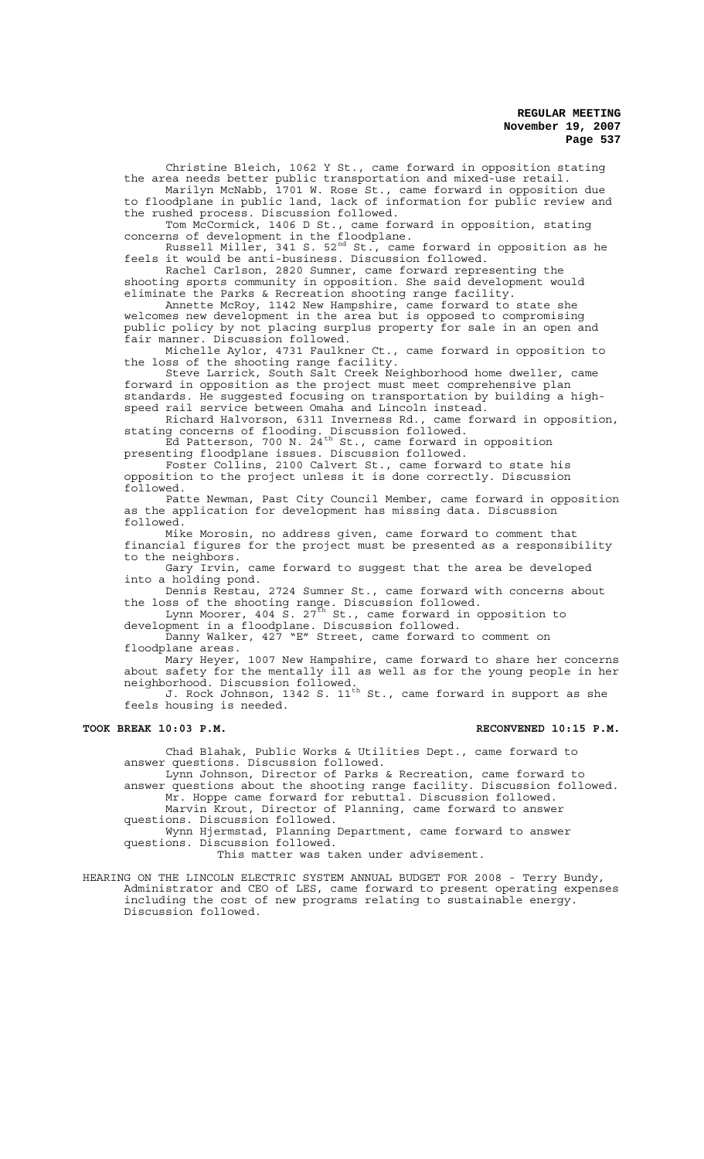Christine Bleich, 1062 Y St., came forward in opposition stating the area needs better public transportation and mixed-use retail.

Marilyn McNabb, 1701 W. Rose St., came forward in opposition due to floodplane in public land, lack of information for public review and the rushed process. Discussion followed.

Tom McCormick, 1406 D St., came forward in opposition, stating concerns of development in the floodplane.

Russell Miller, 341 S. 52<sup>nd</sup> St., came forward in opposition as he feels it would be anti-business. Discussion followed.

Rachel Carlson, 2820 Sumner, came forward representing the shooting sports community in opposition. She said development would eliminate the Parks & Recreation shooting range facility.

Annette McRoy, 1142 New Hampshire, came forward to state she welcomes new development in the area but is opposed to compromising public policy by not placing surplus property for sale in an open and fair manner. Discussion followed.

Michelle Aylor, 4731 Faulkner Ct., came forward in opposition to the loss of the shooting range facility.

Steve Larrick, South Salt Creek Neighborhood home dweller, came forward in opposition as the project must meet comprehensive plan standards. He suggested focusing on transportation by building a highspeed rail service between Omaha and Lincoln instead.

Richard Halvorson, 6311 Inverness Rd., came forward in opposition, stating concerns of flooding. Discussion followed.

 $\stackrel{\text{\tiny\textsf{D}}}{ }$  Ed Patterson, 700 N.  $\stackrel{\text{\tiny\textsf{2}}}{ }$ 4<sup>th</sup> St., came forward in opposition presenting floodplane issues. Discussion followed.

Foster Collins, 2100 Calvert St., came forward to state his opposition to the project unless it is done correctly. Discussion followed.

Patte Newman, Past City Council Member, came forward in opposition as the application for development has missing data. Discussion followed.

Mike Morosin, no address given, came forward to comment that financial figures for the project must be presented as a responsibility to the neighbors.

Gary Irvin, came forward to suggest that the area be developed into a holding pond.

Dennis Restau, 2724 Sumner St., came forward with concerns about the loss of the shooting range. Discussion followed.

Lynn Moorer, 404  $\check{\textrm{s}}$ . 27 $^{\textrm{\textrm{th}}}$  St., came forward in opposition to development in a floodplane. Discussion followed.

Danny Walker, 427 "E" Street, came forward to comment on floodplane areas.

Mary Heyer, 1007 New Hampshire, came forward to share her concerns about safety for the mentally ill as well as for the young people in her neighborhood. Discussion followed.

J. Rock Johnson, 1342 S.  $11^{\rm th}$  St., came forward in support as she feels housing is needed.

### TOOK BREAK 10:03 P.M. **RECONVENED 10:15 P.M.**

Chad Blahak, Public Works & Utilities Dept., came forward to answer questions. Discussion followed.

Lynn Johnson, Director of Parks & Recreation, came forward to answer questions about the shooting range facility. Discussion followed. Mr. Hoppe came forward for rebuttal. Discussion followed.

Marvin Krout, Director of Planning, came forward to answer questions. Discussion followed.

Wynn Hjermstad, Planning Department, came forward to answer questions. Discussion followed.

This matter was taken under advisement.

HEARING ON THE LINCOLN ELECTRIC SYSTEM ANNUAL BUDGET FOR 2008 - Terry Bundy, Administrator and CEO of LES, came forward to present operating expenses including the cost of new programs relating to sustainable energy. Discussion followed.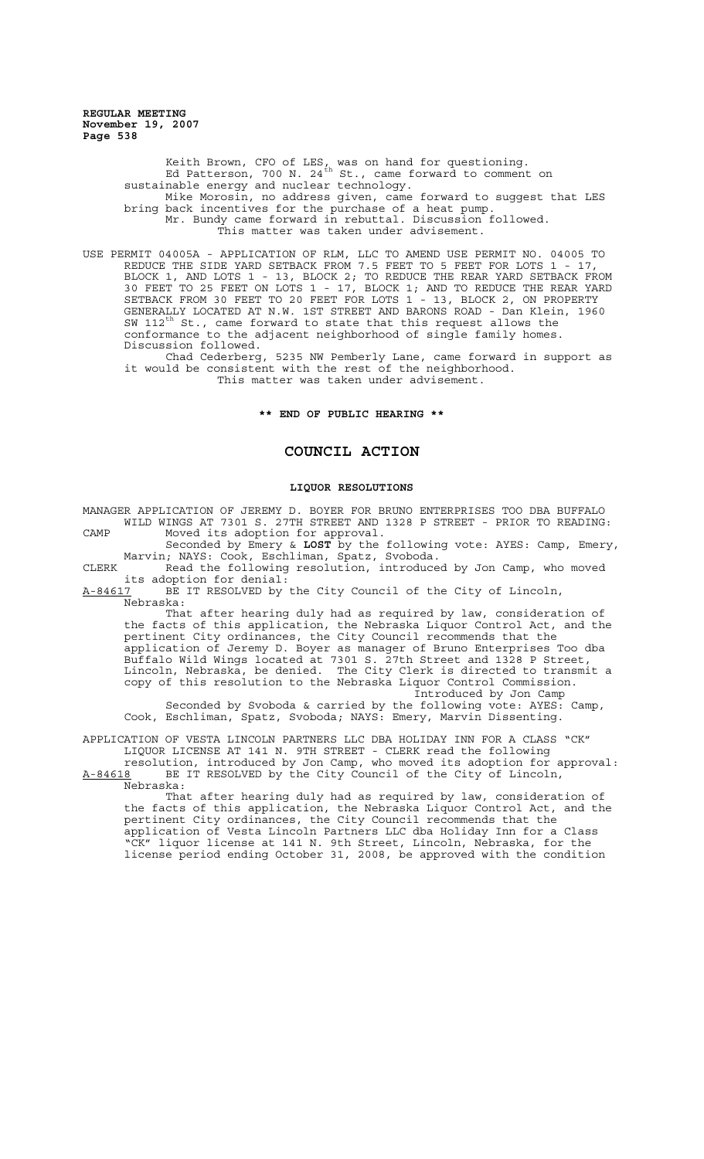> Keith Brown, CFO of LES, was on hand for questioning. Ed Patterson, 700 N. 24<sup>th</sup> St., came forward to comment on sustainable energy and nuclear technology. Mike Morosin, no address given, came forward to suggest that LES bring back incentives for the purchase of a heat pump. Mr. Bundy came forward in rebuttal. Discussion followed. This matter was taken under advisement.

USE PERMIT 04005A - APPLICATION OF RLM, LLC TO AMEND USE PERMIT NO. 04005 TO REDUCE THE SIDE YARD SETBACK FROM 7.5 FEET TO 5 FEET FOR LOTS 1 - 17, BLOCK 1, AND LOTS 1 - 13, BLOCK 2; TO REDUCE THE REAR YARD SETBACK FROM 30 FEET TO 25 FEET ON LOTS 1 - 17, BLOCK 1; AND TO REDUCE THE REAR YARD SETBACK FROM 30 FEET TO 20 FEET FOR LOTS 1 - 13, BLOCK 2, ON PROPERTY GENERALLY LOCATED AT N.W. 1ST STREET AND BARONS ROAD - Dan Klein, 1960 SW 112 $^{\text{th}}$  St., came forward to state that this request allows the conformance to the adjacent neighborhood of single family homes. Discussion followed.

Chad Cederberg, 5235 NW Pemberly Lane, came forward in support as it would be consistent with the rest of the neighborhood. This matter was taken under advisement.

## **\*\* END OF PUBLIC HEARING \*\***

## **COUNCIL ACTION**

# **LIQUOR RESOLUTIONS**

MANAGER APPLICATION OF JEREMY D. BOYER FOR BRUNO ENTERPRISES TOO DBA BUFFALO WILD WINGS AT 7301 S. 27TH STREET AND 1328 P STREET - PRIOR TO READING: CAMP Moved its adoption for approval.

Seconded by Emery & LOST by the following vote: AYES: Camp, Emery, Marvin; NAYS: Cook, Eschliman, Spatz, Svoboda.

CLERK Read the following resolution, introduced by Jon Camp, who moved its adoption for denial:<br>A-84617 BE IT RESOLVED by

BE IT RESOLVED by the City Council of the City of Lincoln, Nebraska:

That after hearing duly had as required by law, consideration of the facts of this application, the Nebraska Liquor Control Act, and the pertinent City ordinances, the City Council recommends that the application of Jeremy D. Boyer as manager of Bruno Enterprises Too dba Buffalo Wild Wings located at 7301 S. 27th Street and 1328 P Street, Lincoln, Nebraska, be denied. The City Clerk is directed to transmit a copy of this resolution to the Nebraska Liquor Control Commission. Introduced by Jon Camp

Seconded by Svoboda & carried by the following vote: AYES: Camp, Cook, Eschliman, Spatz, Svoboda; NAYS: Emery, Marvin Dissenting.

APPLICATION OF VESTA LINCOLN PARTNERS LLC DBA HOLIDAY INN FOR A CLASS "CK" LIQUOR LICENSE AT 141 N. 9TH STREET - CLERK read the following

resolution, introduced by Jon Camp, who moved its adoption for approval: A-84618 BE IT RESOLVED by the City Council of the City of Lincoln, Nebraska:

That after hearing duly had as required by law, consideration of the facts of this application, the Nebraska Liquor Control Act, and the pertinent City ordinances, the City Council recommends that the application of Vesta Lincoln Partners LLC dba Holiday Inn for a Class "CK" liquor license at 141 N. 9th Street, Lincoln, Nebraska, for the license period ending October 31, 2008, be approved with the condition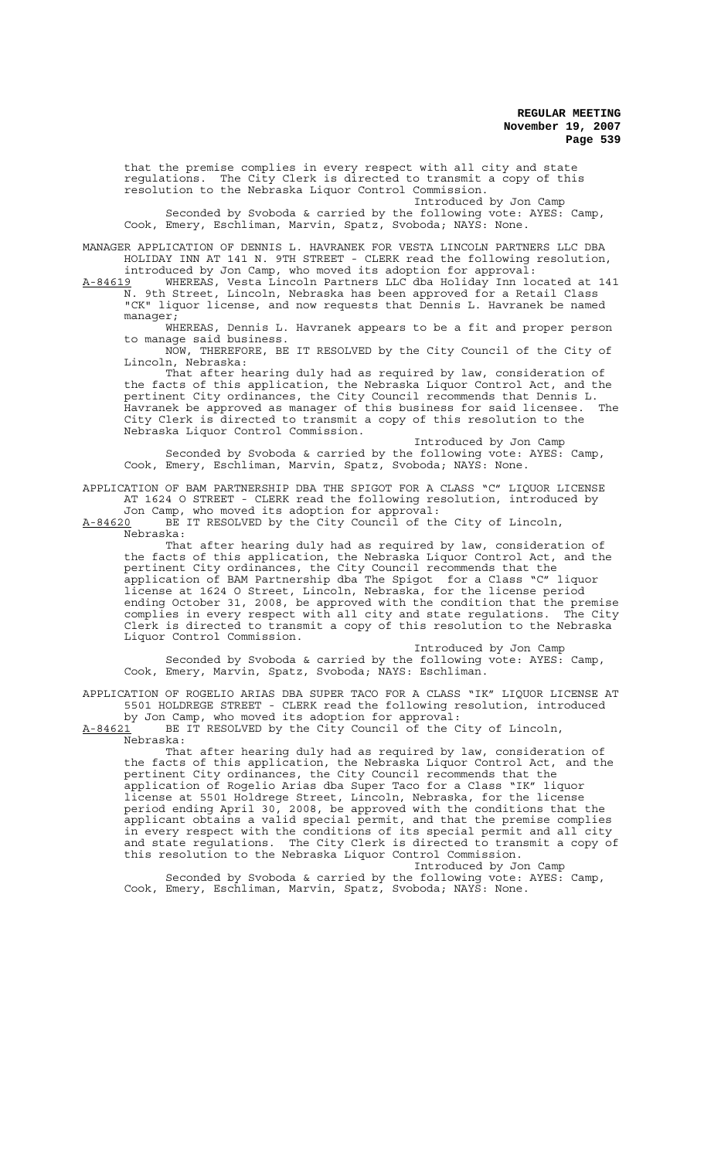that the premise complies in every respect with all city and state regulations. The City Clerk is directed to transmit a copy of this resolution to the Nebraska Liquor Control Commission.

Introduced by Jon Camp Seconded by Svoboda & carried by the following vote: AYES: Camp, Cook, Emery, Eschliman, Marvin, Spatz, Svoboda; NAYS: None.

MANAGER APPLICATION OF DENNIS L. HAVRANEK FOR VESTA LINCOLN PARTNERS LLC DBA HOLIDAY INN AT 141 N. 9TH STREET - CLERK read the following resolution, introduced by Jon Camp, who moved its adoption for approval:

A-84619 MHEREAS, Vesta Lincoln Partners LLC dba Holiday Inn located at 141 N. 9th Street, Lincoln, Nebraska has been approved for a Retail Class "CK" liquor license, and now requests that Dennis L. Havranek be named manager;

WHEREAS, Dennis L. Havranek appears to be a fit and proper person to manage said business.

NOW, THEREFORE, BE IT RESOLVED by the City Council of the City of Lincoln, Nebraska:

That after hearing duly had as required by law, consideration of the facts of this application, the Nebraska Liquor Control Act, and the pertinent City ordinances, the City Council recommends that Dennis L. Havranek be approved as manager of this business for said licensee. The City Clerk is directed to transmit a copy of this resolution to the Nebraska Liquor Control Commission.

Introduced by Jon Camp Seconded by Svoboda & carried by the following vote: AYES: Camp, Cook, Emery, Eschliman, Marvin, Spatz, Svoboda; NAYS: None.

APPLICATION OF BAM PARTNERSHIP DBA THE SPIGOT FOR A CLASS "C" LIQUOR LICENSE AT 1624 O STREET - CLERK read the following resolution, introduced by Jon Camp, who moved its adoption for approval:

A-84620 BE IT RESOLVED by the City Council of the City of Lincoln,  $A-84620$  BE<br>Nebraska:

That after hearing duly had as required by law, consideration of the facts of this application, the Nebraska Liquor Control Act, and the pertinent City ordinances, the City Council recommends that the application of BAM Partnership dba The Spigot for a Class "C" liquor license at 1624 O Street, Lincoln, Nebraska, for the license period ending October 31, 2008, be approved with the condition that the premise complies in every respect with all city and state regulations. The City Clerk is directed to transmit a copy of this resolution to the Nebraska Liquor Control Commission.

Introduced by Jon Camp Seconded by Svoboda & carried by the following vote: AYES: Camp, Cook, Emery, Marvin, Spatz, Svoboda; NAYS: Eschliman.

APPLICATION OF ROGELIO ARIAS DBA SUPER TACO FOR A CLASS "IK" LIQUOR LICENSE AT 5501 HOLDREGE STREET - CLERK read the following resolution, introduced by Jon Camp, who moved its adoption for approval:

A-84621 BE IT RESOLVED by the City Council of the City of Lincoln,  $A-84621$  BE<br>Nebraska:

That after hearing duly had as required by law, consideration of the facts of this application, the Nebraska Liquor Control Act, and the pertinent City ordinances, the City Council recommends that the application of Rogelio Arias dba Super Taco for a Class "IK" liquor license at 5501 Holdrege Street, Lincoln, Nebraska, for the license period ending April 30, 2008, be approved with the conditions that the applicant obtains a valid special permit, and that the premise complies in every respect with the conditions of its special permit and all city and state regulations. The City Clerk is directed to transmit a copy of this resolution to the Nebraska Liquor Control Commission.

Introduced by Jon Camp Seconded by Svoboda & carried by the following vote: AYES: Camp, Cook, Emery, Eschliman, Marvin, Spatz, Svoboda; NAYS: None.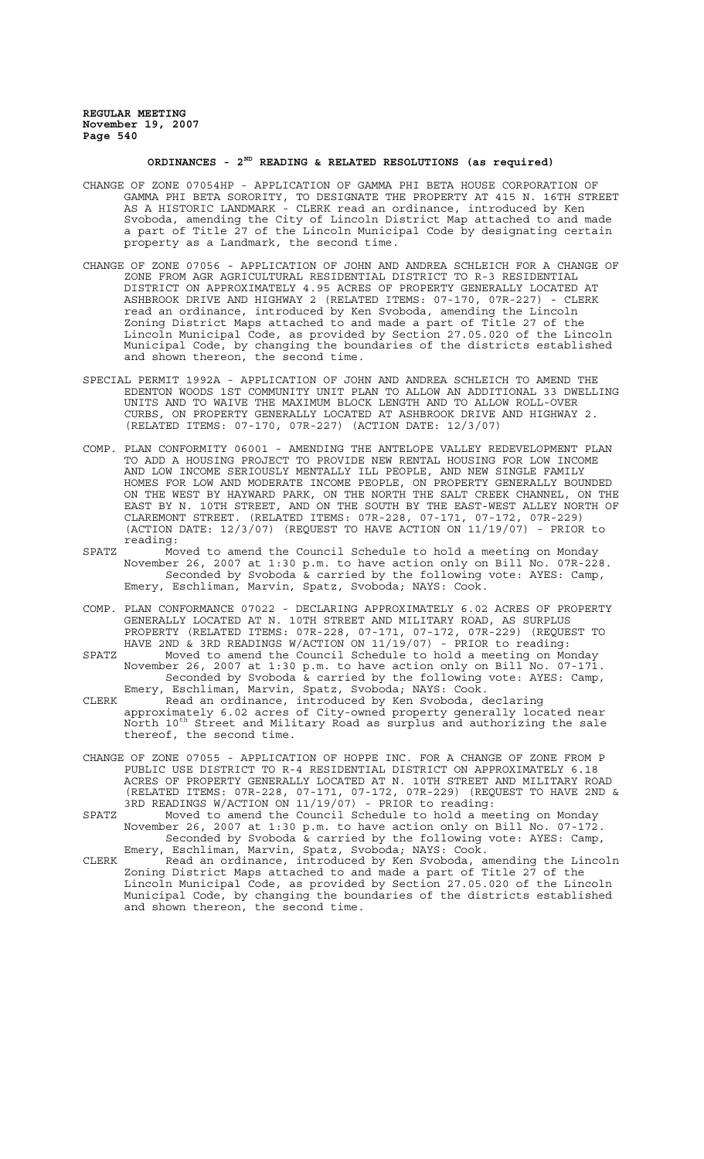# **ORDINANCES - 2ND READING & RELATED RESOLUTIONS (as required)**

- CHANGE OF ZONE 07054HP APPLICATION OF GAMMA PHI BETA HOUSE CORPORATION OF GAMMA PHI BETA SORORITY, TO DESIGNATE THE PROPERTY AT 415 N. 16TH STREET AS A HISTORIC LANDMARK - CLERK read an ordinance, introduced by Ken Svoboda, amending the City of Lincoln District Map attached to and made a part of Title 27 of the Lincoln Municipal Code by designating certain property as a Landmark, the second time.
- CHANGE OF ZONE 07056 APPLICATION OF JOHN AND ANDREA SCHLEICH FOR A CHANGE OF ZONE FROM AGR AGRICULTURAL RESIDENTIAL DISTRICT TO R-3 RESIDENTIAL DISTRICT ON APPROXIMATELY 4.95 ACRES OF PROPERTY GENERALLY LOCATED AT ASHBROOK DRIVE AND HIGHWAY 2 (RELATED ITEMS: 07-170, 07R-227) - CLERK read an ordinance, introduced by Ken Svoboda, amending the Lincoln Zoning District Maps attached to and made a part of Title 27 of the Lincoln Municipal Code, as provided by Section 27.05.020 of the Lincoln Municipal Code, by changing the boundaries of the districts established and shown thereon, the second time.
- SPECIAL PERMIT 1992A APPLICATION OF JOHN AND ANDREA SCHLEICH TO AMEND THE EDENTON WOODS 1ST COMMUNITY UNIT PLAN TO ALLOW AN ADDITIONAL 33 DWELLING UNITS AND TO WAIVE THE MAXIMUM BLOCK LENGTH AND TO ALLOW ROLL-OVER CURBS, ON PROPERTY GENERALLY LOCATED AT ASHBROOK DRIVE AND HIGHWAY 2. (RELATED ITEMS: 07-170, 07R-227) (ACTION DATE: 12/3/07)
- COMP. PLAN CONFORMITY 06001 AMENDING THE ANTELOPE VALLEY REDEVELOPMENT PLAN TO ADD A HOUSING PROJECT TO PROVIDE NEW RENTAL HOUSING FOR LOW INCOME AND LOW INCOME SERIOUSLY MENTALLY ILL PEOPLE, AND NEW SINGLE FAMILY HOMES FOR LOW AND MODERATE INCOME PEOPLE, ON PROPERTY GENERALLY BOUNDED ON THE WEST BY HAYWARD PARK, ON THE NORTH THE SALT CREEK CHANNEL, ON THE EAST BY N. 10TH STREET, AND ON THE SOUTH BY THE EAST-WEST ALLEY NORTH OF CLAREMONT STREET. (RELATED ITEMS: 07R-228, 07-171, 07-172, 07R-229) (ACTION DATE: 12/3/07) (REQUEST TO HAVE ACTION ON 11/19/07) - PRIOR to reading:
- SPATZ Moved to amend the Council Schedule to hold a meeting on Monday November 26, 2007 at 1:30 p.m. to have action only on Bill No. 07R-228. Seconded by Svoboda & carried by the following vote: AYES: Camp, Emery, Eschliman, Marvin, Spatz, Svoboda; NAYS: Cook.
- COMP. PLAN CONFORMANCE 07022 DECLARING APPROXIMATELY 6.02 ACRES OF PROPERTY GENERALLY LOCATED AT N. 10TH STREET AND MILITARY ROAD, AS SURPLUS PROPERTY (RELATED ITEMS: 07R-228, 07-171, 07-172, 07R-229) (REQUEST TO HAVE 2ND & 3RD READINGS W/ACTION ON 11/19/07) - PRIOR to reading:
- SPATZ Moved to amend the Council Schedule to hold a meeting on Monday November 26, 2007 at 1:30 p.m. to have action only on Bill No. 07-171. Seconded by Svoboda & carried by the following vote: AYES: Camp, Emery, Eschliman, Marvin, Spatz, Svoboda; NAYS: Cook.
- CLERK Read an ordinance, introduced by Ken Svoboda, declaring approximately 6.02 acres of City-owned property generally located near North 10th Street and Military Road as surplus and authorizing the sale thereof, the second time.
- CHANGE OF ZONE 07055 APPLICATION OF HOPPE INC. FOR A CHANGE OF ZONE FROM P PUBLIC USE DISTRICT TO R-4 RESIDENTIAL DISTRICT ON APPROXIMATELY 6.18 ACRES OF PROPERTY GENERALLY LOCATED AT N. 10TH STREET AND MILITARY ROAD (RELATED ITEMS: 07R-228, 07-171, 07-172, 07R-229) (REQUEST TO HAVE 2ND & 3RD READINGS W/ACTION ON 11/19/07) - PRIOR to reading:
- SPATZ Moved to amend the Council Schedule to hold a meeting on Monday November 26, 2007 at 1:30 p.m. to have action only on Bill No. 07-172. Seconded by Svoboda & carried by the following vote: AYES: Camp, Emery, Eschliman, Marvin, Spatz, Svoboda; NAYS: Cook.
- CLERK Read an ordinance, introduced by Ken Svoboda, amending the Lincoln Zoning District Maps attached to and made a part of Title 27 of the Lincoln Municipal Code, as provided by Section 27.05.020 of the Lincoln Municipal Code, by changing the boundaries of the districts established and shown thereon, the second time.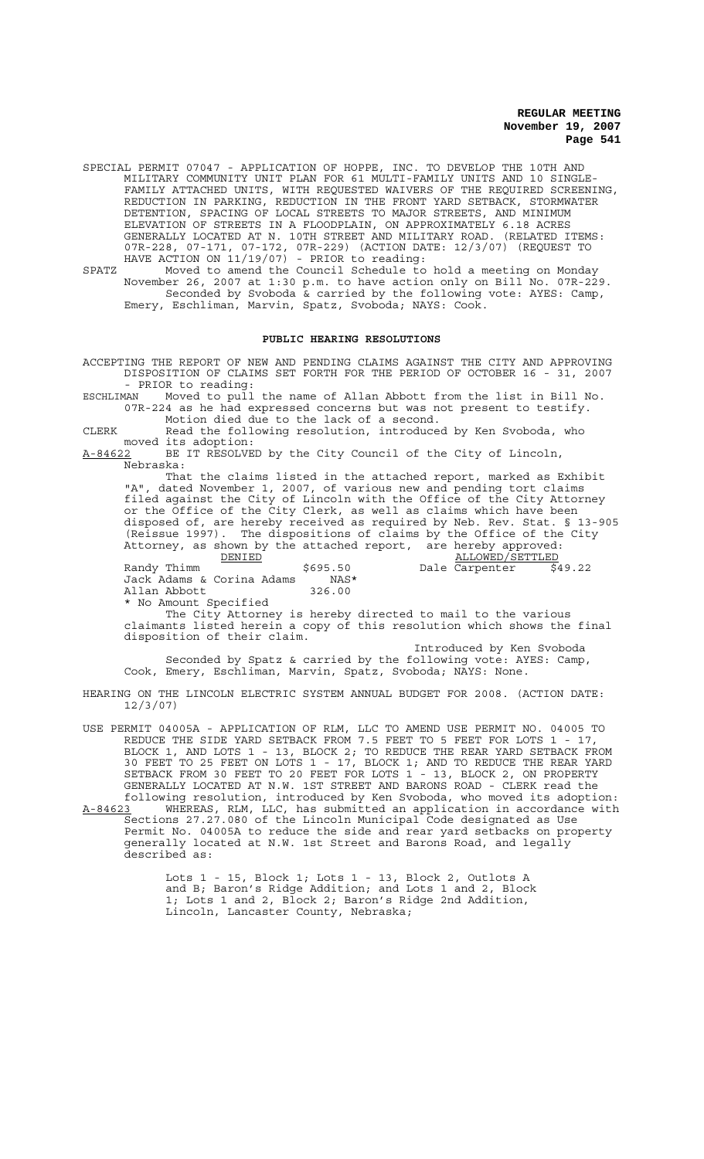SPECIAL PERMIT 07047 - APPLICATION OF HOPPE, INC. TO DEVELOP THE 10TH AND MILITARY COMMUNITY UNIT PLAN FOR 61 MULTI-FAMILY UNITS AND 10 SINGLE-FAMILY ATTACHED UNITS, WITH REQUESTED WAIVERS OF THE REQUIRED SCREENING, REDUCTION IN PARKING, REDUCTION IN THE FRONT YARD SETBACK, STORMWATER DETENTION, SPACING OF LOCAL STREETS TO MAJOR STREETS, AND MINIMUM ELEVATION OF STREETS IN A FLOODPLAIN, ON APPROXIMATELY 6.18 ACRES GENERALLY LOCATED AT N. 10TH STREET AND MILITARY ROAD. (RELATED ITEMS: 07R-228, 07-171, 07-172, 07R-229) (ACTION DATE: 12/3/07) (REQUEST TO HAVE ACTION ON 11/19/07) - PRIOR to reading:

SPATZ Moved to amend the Council Schedule to hold a meeting on Monday November 26, 2007 at 1:30 p.m. to have action only on Bill No. 07R-229. Seconded by Svoboda & carried by the following vote: AYES: Camp, Emery, Eschliman, Marvin, Spatz, Svoboda; NAYS: Cook.

#### **PUBLIC HEARING RESOLUTIONS**

ACCEPTING THE REPORT OF NEW AND PENDING CLAIMS AGAINST THE CITY AND APPROVING DISPOSITION OF CLAIMS SET FORTH FOR THE PERIOD OF OCTOBER 16 - 31, 2007 - PRIOR to reading:<br>ESCHLIMAN Moved to pull

Moved to pull the name of Allan Abbott from the list in Bill No. 07R-224 as he had expressed concerns but was not present to testify. Motion died due to the lack of a second.

CLERK Read the following resolution, introduced by Ken Svoboda, who moved its adoption:

A-84622 BE IT RESOLVED by the City Council of the City of Lincoln,  $A-84622$  BE<br>Nebraska:

That the claims listed in the attached report, marked as Exhibit "A", dated November 1, 2007, of various new and pending tort claims filed against the City of Lincoln with the Office of the City Attorney or the Office of the City Clerk, as well as claims which have been disposed of, are hereby received as required by Neb. Rev. Stat. § 13-905 (Reissue 1997). The dispositions of claims by the Office of the City Attorney, as shown by the attached report, are hereby approved:<br>DENIED ALLOWED/SETTLED

DENIED<br>Randy Thimm  $\frac{\text{DENIED}}{\text{G05}}$  5695.50 Dale Carpenter \$49.22 5.50 Dale Carpenter NAS\* Jack Adams & Corina Adams NAS<br>Allan Abbott 326.00 Allan Abbott \* No Amount Specified

The City Attorney is hereby directed to mail to the various claimants listed herein a copy of this resolution which shows the final disposition of their claim.

Introduced by Ken Svoboda Seconded by Spatz & carried by the following vote: AYES: Camp, Cook, Emery, Eschliman, Marvin, Spatz, Svoboda; NAYS: None.

HEARING ON THE LINCOLN ELECTRIC SYSTEM ANNUAL BUDGET FOR 2008. (ACTION DATE: 12/3/07)

USE PERMIT 04005A - APPLICATION OF RLM, LLC TO AMEND USE PERMIT NO. 04005 TO REDUCE THE SIDE YARD SETBACK FROM 7.5 FEET TO 5 FEET FOR LOTS 1 - 17, BLOCK 1, AND LOTS 1 - 13, BLOCK 2; TO REDUCE THE REAR YARD SETBACK FROM 30 FEET TO 25 FEET ON LOTS 1 - 17, BLOCK 1; AND TO REDUCE THE REAR YARD SETBACK FROM 30 FEET TO 20 FEET FOR LOTS 1 - 13, BLOCK 2, ON PROPERTY GENERALLY LOCATED AT N.W. 1ST STREET AND BARONS ROAD - CLERK read the following resolution, introduced by Ken Svoboda, who moved its adoption: A-84623 WHEREAS, RLM, LLC, has submitted an application in accordance with Sections 27.27.080 of the Lincoln Municipal Code designated as Use Permit No. 04005A to reduce the side and rear yard setbacks on property generally located at N.W. 1st Street and Barons Road, and legally described as:

> Lots 1 - 15, Block 1; Lots 1 - 13, Block 2, Outlots A and B; Baron's Ridge Addition; and Lots 1 and 2, Block 1; Lots 1 and 2, Block 2; Baron's Ridge 2nd Addition, Lincoln, Lancaster County, Nebraska;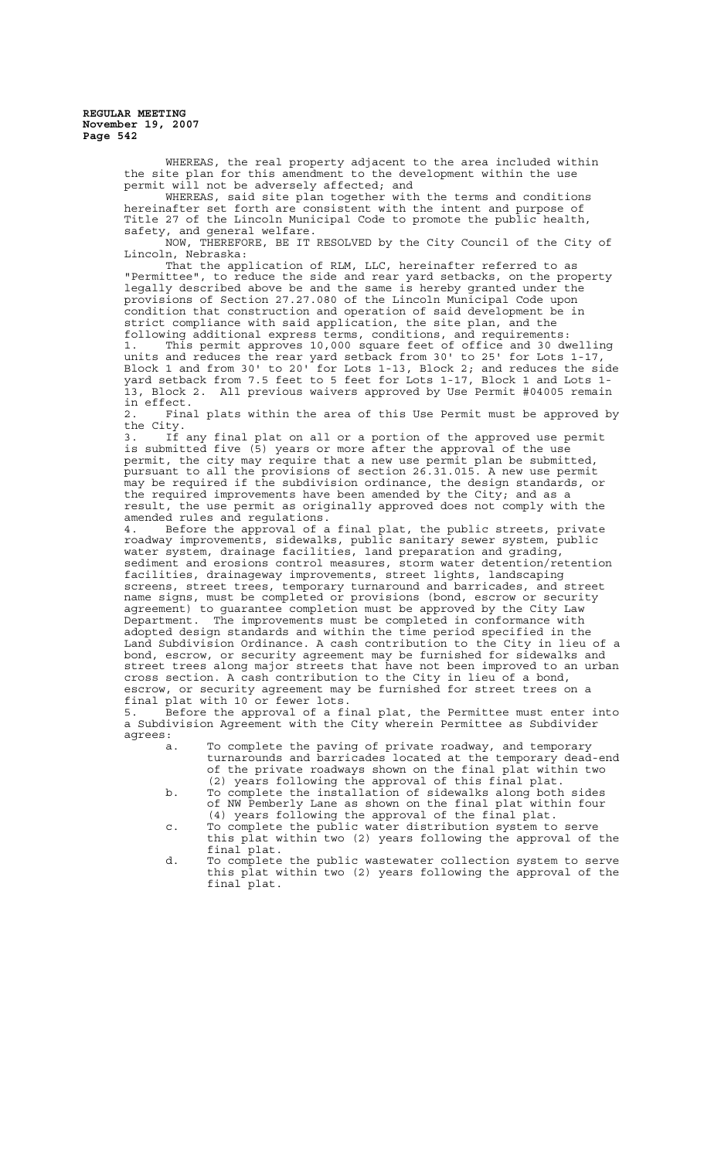> WHEREAS, the real property adjacent to the area included within the site plan for this amendment to the development within the use permit will not be adversely affected; and

WHEREAS, said site plan together with the terms and conditions hereinafter set forth are consistent with the intent and purpose of Title 27 of the Lincoln Municipal Code to promote the public health, safety, and general welfare. and general welfare.

NOW, THEREFORE, BE IT RESOLVED by the City Council of the City of Lincoln, Nebraska:

That the application of RLM, LLC, hereinafter referred to as "Permittee", to reduce the side and rear yard setbacks, on the property legally described above be and the same is hereby granted under the provisions of Section 27.27.080 of the Lincoln Municipal Code upon condition that construction and operation of said development be in strict compliance with said application, the site plan, and the following additional express terms, conditions, and requirements:

1. This permit approves 10,000 square feet of office and 30 dwelling units and reduces the rear yard setback from 30' to 25' for Lots 1-17, Block 1 and from 30' to 20' for Lots 1-13, Block 2; and reduces the side yard setback from 7.5 feet to 5 feet for Lots 1-17, Block 1 and Lots 1- 13, Block 2. All previous waivers approved by Use Permit #04005 remain in effect.

2. Final plats within the area of this Use Permit must be approved by the City.

3. If any final plat on all or a portion of the approved use permit is submitted five (5) years or more after the approval of the use permit, the city may require that a new use permit plan be submitted, pursuant to all the provisions of section 26.31.015. A new use permit may be required if the subdivision ordinance, the design standards, or the required improvements have been amended by the City; and as a result, the use permit as originally approved does not comply with the amended rules and regulations.

4. Before the approval of a final plat, the public streets, private roadway improvements, sidewalks, public sanitary sewer system, public water system, drainage facilities, land preparation and grading, sediment and erosions control measures, storm water detention/retention facilities, drainageway improvements, street lights, landscaping screens, street trees, temporary turnaround and barricades, and street name signs, must be completed or provisions (bond, escrow or security agreement) to guarantee completion must be approved by the City Law Department. The improvements must be completed in conformance with adopted design standards and within the time period specified in the Land Subdivision Ordinance. A cash contribution to the City in lieu of a bond, escrow, or security agreement may be furnished for sidewalks and street trees along major streets that have not been improved to an urban cross section. A cash contribution to the City in lieu of a bond, escrow, or security agreement may be furnished for street trees on a final plat with 10 or fewer lots.

5. Before the approval of a final plat, the Permittee must enter into a Subdivision Agreement with the City wherein Permittee as Subdivider agrees:

- a. To complete the paving of private roadway, and temporary turnarounds and barricades located at the temporary dead-end of the private roadways shown on the final plat within two (2) years following the approval of this final plat.
- b. To complete the installation of sidewalks along both sides of NW Pemberly Lane as shown on the final plat within four (4) years following the approval of the final plat.
- c. To complete the public water distribution system to serve this plat within two (2) years following the approval of the final plat.
- d. To complete the public wastewater collection system to serve this plat within two (2) years following the approval of the final plat.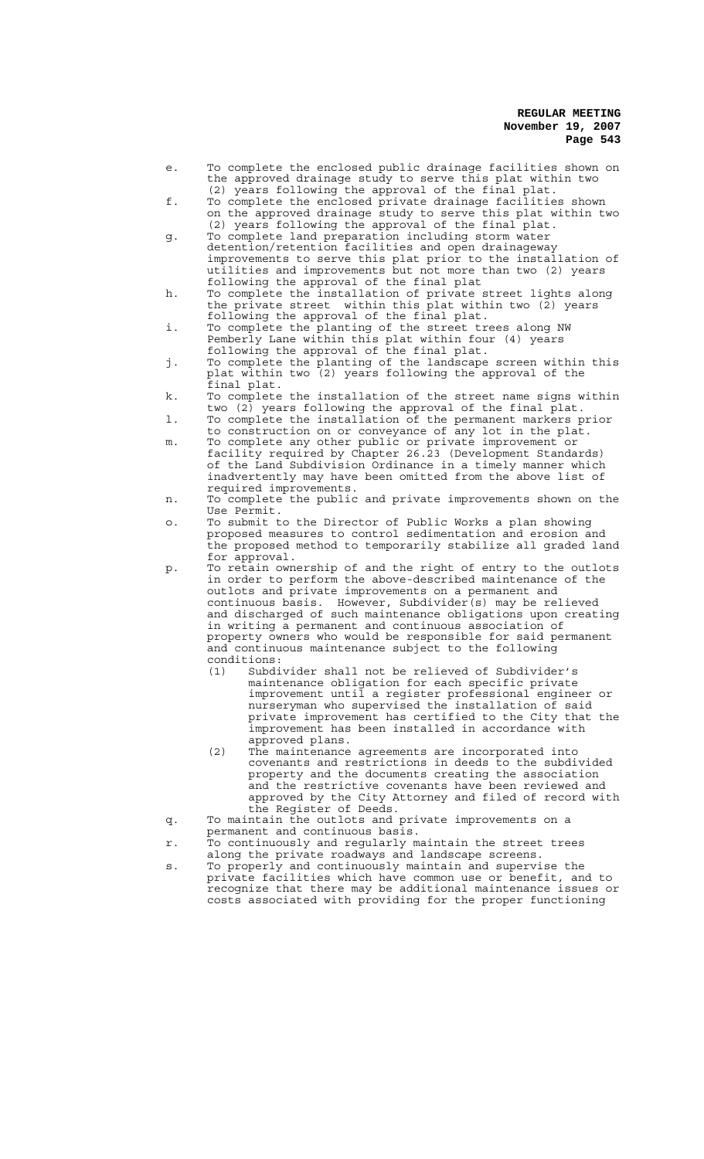- e. To complete the enclosed public drainage facilities shown on the approved drainage study to serve this plat within two (2) years following the approval of the final plat.
- f. To complete the enclosed private drainage facilities shown on the approved drainage study to serve this plat within two (2) years following the approval of the final plat.
- g. To complete land preparation including storm water detention/retention facilities and open drainageway improvements to serve this plat prior to the installation of utilities and improvements but not more than two (2) years following the approval of the final plat
- h. To complete the installation of private street lights along the private street within this plat within two (2) years following the approval of the final plat.
- i. To complete the planting of the street trees along NW Pemberly Lane within this plat within four (4) years following the approval of the final plat.
- j. To complete the planting of the landscape screen within this plat within two (2) years following the approval of the final plat.
- k. To complete the installation of the street name signs within two (2) years following the approval of the final plat.
- l. To complete the installation of the permanent markers prior to construction on or conveyance of any lot in the plat.
- m. To complete any other public or private improvement or facility required by Chapter 26.23 (Development Standards) of the Land Subdivision Ordinance in a timely manner which inadvertently may have been omitted from the above list of required improvements.
- n. To complete the public and private improvements shown on the Use Permit.
- o. To submit to the Director of Public Works a plan showing proposed measures to control sedimentation and erosion and the proposed method to temporarily stabilize all graded land for approval.
- p. To retain ownership of and the right of entry to the outlots in order to perform the above-described maintenance of the outlots and private improvements on a permanent and continuous basis. However, Subdivider(s) may be relieved and discharged of such maintenance obligations upon creating in writing a permanent and continuous association of property owners who would be responsible for said permanent and continuous maintenance subject to the following conditions:<br>(1) Subdi
	- Subdivider shall not be relieved of Subdivider's maintenance obligation for each specific private improvement until a register professional engineer or nurseryman who supervised the installation of said private improvement has certified to the City that the improvement has been installed in accordance with approved plans.
	- (2) The maintenance agreements are incorporated into covenants and restrictions in deeds to the subdivided property and the documents creating the association and the restrictive covenants have been reviewed and approved by the City Attorney and filed of record with the Register of Deeds.
- q. To maintain the outlots and private improvements on a permanent and continuous basis.
- r. To continuously and regularly maintain the street trees
- along the private roadways and landscape screens. s. To properly and continuously maintain and supervise the private facilities which have common use or benefit, and to recognize that there may be additional maintenance issues or costs associated with providing for the proper functioning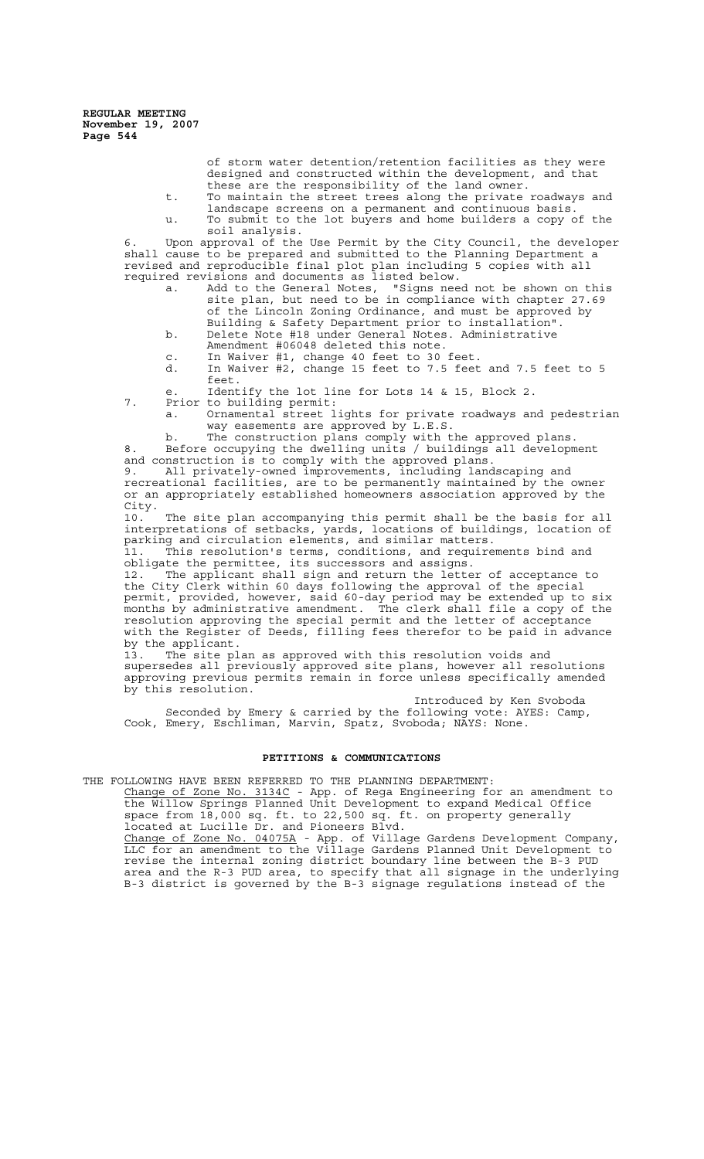> of storm water detention/retention facilities as they were designed and constructed within the development, and that these are the responsibility of the land owner.

- t. To maintain the street trees along the private roadways and landscape screens on a permanent and continuous basis. u. To submit to the lot buyers and home builders a copy of the
- soil analysis.

6. Upon approval of the Use Permit by the City Council, the developer shall cause to be prepared and submitted to the Planning Department a revised and reproducible final plot plan including 5 copies with all required revisions and documents as listed below.

- a. Add to the General Notes, "Signs need not be shown on this site plan, but need to be in compliance with chapter 27.69 of the Lincoln Zoning Ordinance, and must be approved by Building & Safety Department prior to installation".
- b. Delete Note #18 under General Notes. Administrative
- Amendment #06048 deleted this note.
- c. In Waiver #1, change 40 feet to 30 feet. d. In Waiver #2, change 15 feet to 7.5 feet and 7.5 feet to 5
	- feet.
- e. Identify the lot line for Lots 14 & 15, Block 2.
- 7. Prior to building permit:
	- a. Ornamental street lights for private roadways and pedestrian way easements are approved by L.E.S.

b. The construction plans comply with the approved plans. 8. Before occupying the dwelling units / buildings all development and construction is to comply with the approved plans.

9. All privately-owned improvements, including landscaping and recreational facilities, are to be permanently maintained by the owner or an appropriately established homeowners association approved by the City.<br>10.

The site plan accompanying this permit shall be the basis for all interpretations of setbacks, yards, locations of buildings, location of parking and circulation elements, and similar matters.

11. This resolution's terms, conditions, and requirements bind and obligate the permittee, its successors and assigns.<br>12. The applicant shall sign and return the lette

The applicant shall sign and return the letter of acceptance to the City Clerk within 60 days following the approval of the special permit, provided, however, said 60-day period may be extended up to six months by administrative amendment. The clerk shall file a copy of the resolution approving the special permit and the letter of acceptance with the Register of Deeds, filling fees therefor to be paid in advance by the applicant.

13. The site plan as approved with this resolution voids and supersedes all previously approved site plans, however all resolutions approving previous permits remain in force unless specifically amended by this resolution.

Introduced by Ken Svoboda Seconded by Emery & carried by the following vote: AYES: Camp, Cook, Emery, Eschliman, Marvin, Spatz, Svoboda; NAYS: None.

## **PETITIONS & COMMUNICATIONS**

THE FOLLOWING HAVE BEEN REFERRED TO THE PLANNING DEPARTMENT: Change of Zone No. 3134C - App. of Rega Engineering for an amendment to the Willow Springs Planned Unit Development to expand Medical Office space from 18,000 sq. ft. to 22,500 sq. ft. on property generally located at Lucille Dr. and Pioneers Blvd. Change of Zone No. 04075A - App. of Village Gardens Development Company,

LLC for an amendment to the Village Gardens Planned Unit Development to revise the internal zoning district boundary line between the B-3 PUD area and the R-3 PUD area, to specify that all signage in the underlying B-3 district is governed by the B-3 signage regulations instead of the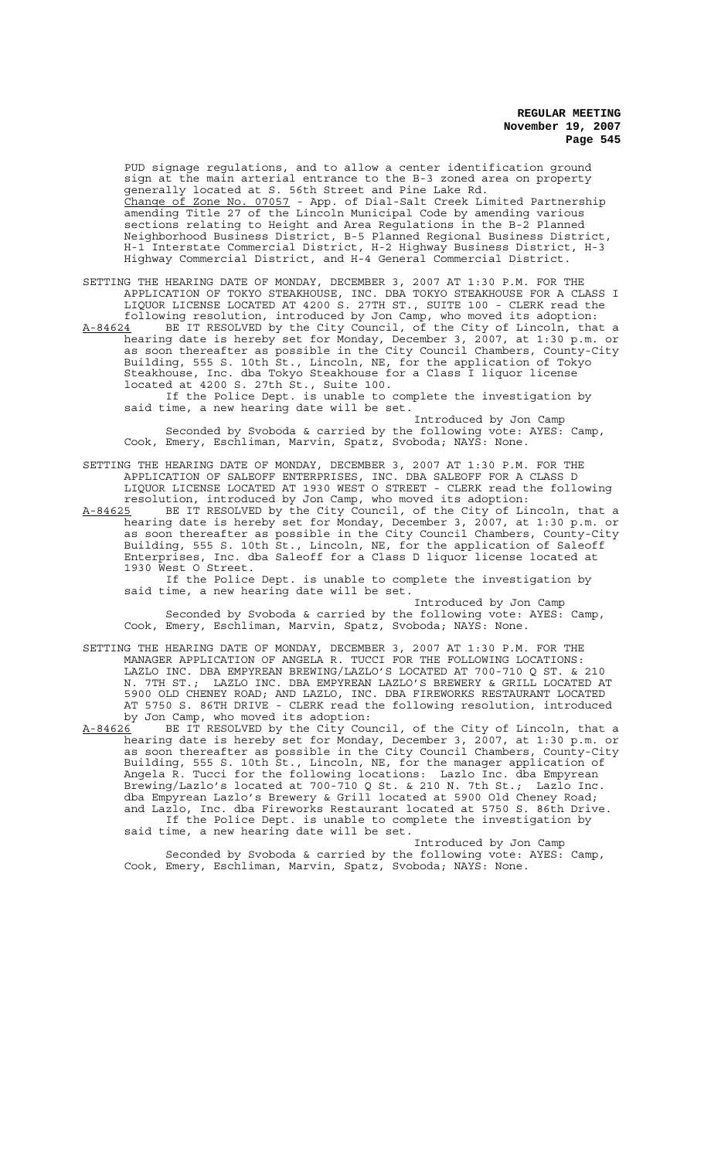PUD signage regulations, and to allow a center identification ground sign at the main arterial entrance to the B-3 zoned area on property generally located at S. 56th Street and Pine Lake Rd. Change of Zone No. 07057 - App. of Dial-Salt Creek Limited Partnership amending Title 27 of the Lincoln Municipal Code by amending various sections relating to Height and Area Regulations in the B-2 Planned Neighborhood Business District, B-5 Planned Regional Business District, H-1 Interstate Commercial District, H-2 Highway Business District, H-3 Highway Commercial District, and H-4 General Commercial District.

SETTING THE HEARING DATE OF MONDAY, DECEMBER 3, 2007 AT 1:30 P.M. FOR THE APPLICATION OF TOKYO STEAKHOUSE, INC. DBA TOKYO STEAKHOUSE FOR A CLASS I LIQUOR LICENSE LOCATED AT 4200 S. 27TH ST., SUITE 100 - CLERK read the following resolution, introduced by Jon Camp, who moved its adoption: A-84624 BE IT RESOLVED by the City Council, of the City of Lincoln, that a A-84624 BE IT RESOLVED by the City Council, of the City of Lincoln, that a hearing date is hereby set for Monday, December 3, 2007, at 1:30 p.m. or as soon thereafter as possible in the City Council Chambers, County-City Building, 555 S. 10th St., Lincoln, NE, for the application of Tokyo Steakhouse, Inc. dba Tokyo Steakhouse for a Class I liquor license

located at 4200 S. 27th St., Suite 100. If the Police Dept. is unable to complete the investigation by said time, a new hearing date will be set.

Introduced by Jon Camp Seconded by Svoboda & carried by the following vote: AYES: Camp, Cook, Emery, Eschliman, Marvin, Spatz, Svoboda; NAYS: None.

SETTING THE HEARING DATE OF MONDAY, DECEMBER 3, 2007 AT 1:30 P.M. FOR THE APPLICATION OF SALEOFF ENTERPRISES, INC. DBA SALEOFF FOR A CLASS D LIQUOR LICENSE LOCATED AT 1930 WEST O STREET - CLERK read the following resolution, introduced by Jon Camp, who moved its adoption:

A-84625 BE IT RESOLVED by the City Council, of the City of Lincoln, that a hearing date is hereby set for Monday, December 3, 2007, at 1:30 p.m. or as soon thereafter as possible in the City Council Chambers, County-City Building, 555 S. 10th St., Lincoln, NE, for the application of Saleoff Enterprises, Inc. dba Saleoff for a Class D liquor license located at 1930 West O Street.

If the Police Dept. is unable to complete the investigation by said time, a new hearing date will be set.

Introduced by Jon Camp Seconded by Svoboda & carried by the following vote: AYES: Camp, Cook, Emery, Eschliman, Marvin, Spatz, Svoboda; NAYS: None.

SETTING THE HEARING DATE OF MONDAY, DECEMBER 3, 2007 AT 1:30 P.M. FOR THE MANAGER APPLICATION OF ANGELA R. TUCCI FOR THE FOLLOWING LOCATIONS: LAZLO INC. DBA EMPYREAN BREWING/LAZLO'S LOCATED AT 700-710 Q ST. & 210 N. 7TH ST.; LAZLO INC. DBA EMPYREAN LAZLO'S BREWERY & GRILL LOCATED AT 5900 OLD CHENEY ROAD; AND LAZLO, INC. DBA FIREWORKS RESTAURANT LOCATED AT 5750 S. 86TH DRIVE - CLERK read the following resolution, introduced by Jon Camp, who moved its adoption:

A-84626 BE IT RESOLVED by the City Council, of the City of Lincoln, that a hearing date is hereby set for Monday, December 3, 2007, at 1:30 p.m. or as soon thereafter as possible in the City Council Chambers, County-City Building, 555 S. 10th St., Lincoln, NE, for the manager application of Angela R. Tucci for the following locations: Lazlo Inc. dba Empyrean Brewing/Lazlo's located at 700-710 Q St. & 210 N. 7th St.; Lazlo Inc. dba Empyrean Lazlo's Brewery & Grill located at 5900 Old Cheney Road; and Lazlo, Inc. dba Fireworks Restaurant located at 5750 S. 86th Drive. If the Police Dept. is unable to complete the investigation by said time, a new hearing date will be set.

Introduced by Jon Camp Seconded by Svoboda & carried by the following vote: AYES: Camp, Cook, Emery, Eschliman, Marvin, Spatz, Svoboda; NAYS: None.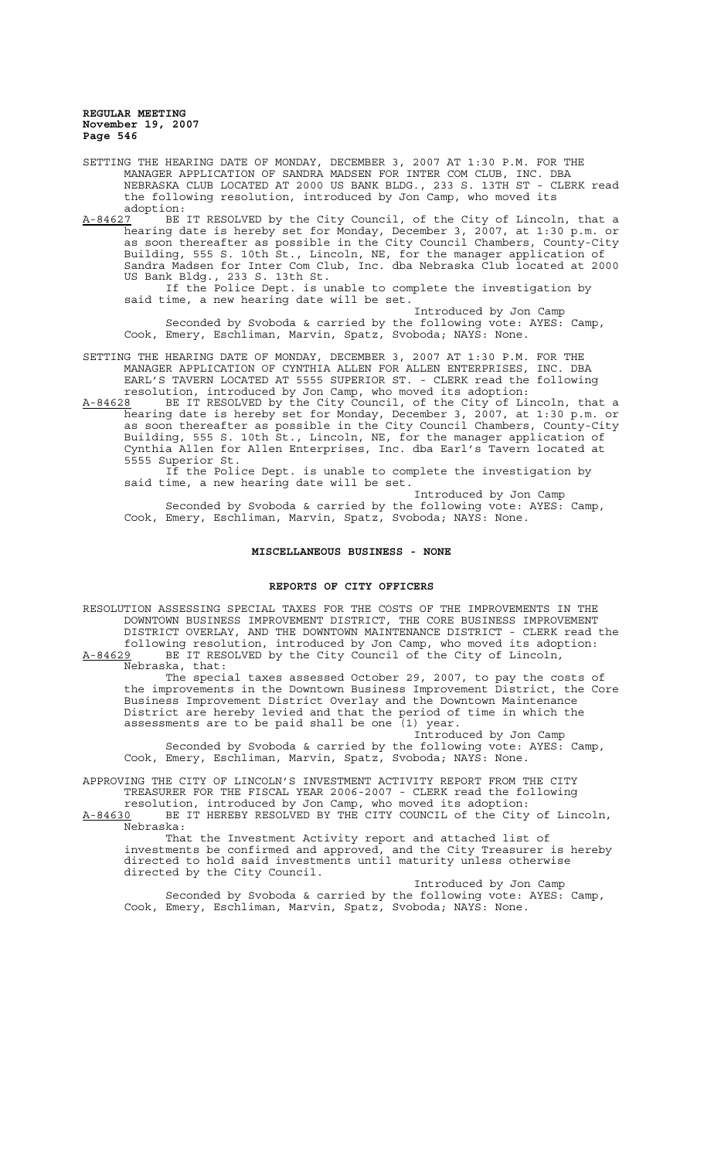- SETTING THE HEARING DATE OF MONDAY, DECEMBER 3, 2007 AT 1:30 P.M. FOR THE MANAGER APPLICATION OF SANDRA MADSEN FOR INTER COM CLUB, INC. DBA NEBRASKA CLUB LOCATED AT 2000 US BANK BLDG., 233 S. 13TH ST - CLERK read the following resolution, introduced by Jon Camp, who moved its adoption:<br>A-84627 BE
- BE IT RESOLVED by the City Council, of the City of Lincoln, that a hearing date is hereby set for Monday, December 3, 2007, at 1:30 p.m. or as soon thereafter as possible in the City Council Chambers, County-City Building, 555 S. 10th St., Lincoln, NE, for the manager application of Sandra Madsen for Inter Com Club, Inc. dba Nebraska Club located at 2000 US Bank Bldg., 233 S. 13th St.

If the Police Dept. is unable to complete the investigation by said time, a new hearing date will be set.

Introduced by Jon Camp Seconded by Svoboda & carried by the following vote: AYES: Camp, Cook, Emery, Eschliman, Marvin, Spatz, Svoboda; NAYS: None.

SETTING THE HEARING DATE OF MONDAY, DECEMBER 3, 2007 AT 1:30 P.M. FOR THE MANAGER APPLICATION OF CYNTHIA ALLEN FOR ALLEN ENTERPRISES, INC. DBA EARL'S TAVERN LOCATED AT 5555 SUPERIOR ST. - CLERK read the following resolution, introduced by Jon Camp, who moved its adoption:

A-84628 BE IT RESOLVED by the City Council, of the City of Lincoln, that a hearing date is hereby set for Monday, December 3, 2007, at 1:30 p.m. or as soon thereafter as possible in the City Council Chambers, County-City Building, 555 S. 10th St., Lincoln, NE, for the manager application of Cynthia Allen for Allen Enterprises, Inc. dba Earl's Tavern located at 5555 Superior St.

If the Police Dept. is unable to complete the investigation by said time, a new hearing date will be set.

Introduced by Jon Camp Seconded by Svoboda & carried by the following vote: AYES: Camp, Cook, Emery, Eschliman, Marvin, Spatz, Svoboda; NAYS: None.

#### **MISCELLANEOUS BUSINESS - NONE**

#### **REPORTS OF CITY OFFICERS**

RESOLUTION ASSESSING SPECIAL TAXES FOR THE COSTS OF THE IMPROVEMENTS IN THE DOWNTOWN BUSINESS IMPROVEMENT DISTRICT, THE CORE BUSINESS IMPROVEMENT DISTRICT OVERLAY, AND THE DOWNTOWN MAINTENANCE DISTRICT - CLERK read the following resolution, introduced by Jon Camp, who moved its adoption: A-84629 BE IT RESOLVED by the City Council of the City of Lincoln,

Nebraska, that:

The special taxes assessed October 29, 2007, to pay the costs of the improvements in the Downtown Business Improvement District, the Core Business Improvement District Overlay and the Downtown Maintenance District are hereby levied and that the period of time in which the assessments are to be paid shall be one (1) year.

Introduced by Jon Camp Seconded by Svoboda & carried by the following vote: AYES: Camp, Cook, Emery, Eschliman, Marvin, Spatz, Svoboda; NAYS: None.

APPROVING THE CITY OF LINCOLN'S INVESTMENT ACTIVITY REPORT FROM THE CITY TREASURER FOR THE FISCAL YEAR 2006-2007 - CLERK read the following resolution, introduced by Jon Camp, who moved its adoption:

A-84630 BE IT HEREBY RESOLVED BY THE CITY COUNCIL of the City of Lincoln, Nebraska:

That the Investment Activity report and attached list of investments be confirmed and approved, and the City Treasurer is hereby directed to hold said investments until maturity unless otherwise directed by the City Council.

Introduced by Jon Camp Seconded by Svoboda & carried by the following vote: AYES: Camp, Cook, Emery, Eschliman, Marvin, Spatz, Svoboda; NAYS: None.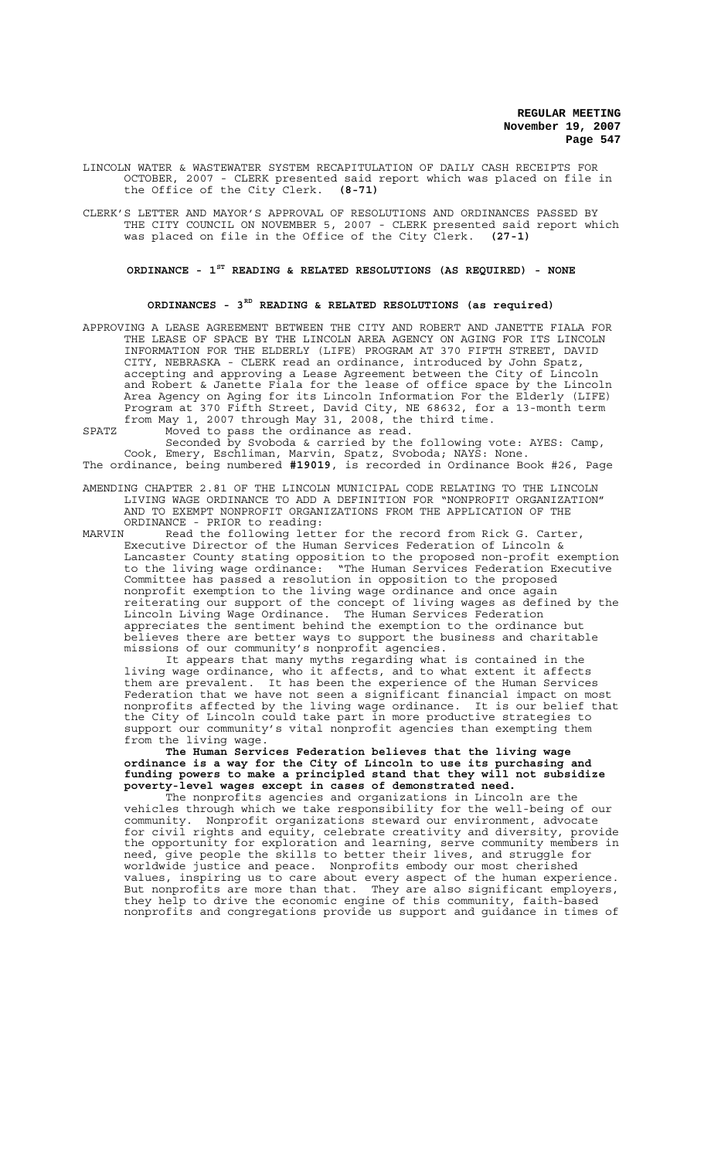LINCOLN WATER & WASTEWATER SYSTEM RECAPITULATION OF DAILY CASH RECEIPTS FOR OCTOBER, 2007 - CLERK presented said report which was placed on file in the Office of the City Clerk. **(8-71)**

CLERK'S LETTER AND MAYOR'S APPROVAL OF RESOLUTIONS AND ORDINANCES PASSED BY THE CITY COUNCIL ON NOVEMBER 5, 2007 - CLERK presented said report which was placed on file in the Office of the City Clerk. **(27-1)**

# **ORDINANCE - 1ST READING & RELATED RESOLUTIONS (AS REQUIRED) - NONE**

#### **ORDINANCES - 3RD READING & RELATED RESOLUTIONS (as required)**

APPROVING A LEASE AGREEMENT BETWEEN THE CITY AND ROBERT AND JANETTE FIALA FOR THE LEASE OF SPACE BY THE LINCOLN AREA AGENCY ON AGING FOR ITS LINCOLN INFORMATION FOR THE ELDERLY (LIFE) PROGRAM AT 370 FIFTH STREET, DAVID CITY, NEBRASKA - CLERK read an ordinance, introduced by John Spatz, accepting and approving a Lease Agreement between the City of Lincoln and Robert & Janette Fiala for the lease of office space by the Lincoln Area Agency on Aging for its Lincoln Information For the Elderly (LIFE) Program at 370 Fifth Street, David City, NE 68632, for a 13-month term from May 1, 2007 through May 31, 2008, the third time.

SPATZ Moved to pass the ordinance as read.

Seconded by Svoboda & carried by the following vote: AYES: Camp, Cook, Emery, Eschliman, Marvin, Spatz, Svoboda; NAYS: None. The ordinance, being numbered **#19019**, is recorded in Ordinance Book #26, Page

AMENDING CHAPTER 2.81 OF THE LINCOLN MUNICIPAL CODE RELATING TO THE LINCOLN LIVING WAGE ORDINANCE TO ADD A DEFINITION FOR "NONPROFIT ORGANIZATION" AND TO EXEMPT NONPROFIT ORGANIZATIONS FROM THE APPLICATION OF THE ORDINANCE - PRIOR to reading:<br>MARVIN Read the following lett

MARVIN Read the following letter for the record from Rick G. Carter, Executive Director of the Human Services Federation of Lincoln & Lancaster County stating opposition to the proposed non-profit exemption to the living wage ordinance: "The Human Services Federation Executive Committee has passed a resolution in opposition to the proposed nonprofit exemption to the living wage ordinance and once again reiterating our support of the concept of living wages as defined by the Lincoln Living Wage Ordinance. The Human Services Federation appreciates the sentiment behind the exemption to the ordinance but believes there are better ways to support the business and charitable missions of our community's nonprofit agencies.

It appears that many myths regarding what is contained in the living wage ordinance, who it affects, and to what extent it affects them are prevalent. It has been the experience of the Human Services Federation that we have not seen a significant financial impact on most nonprofits affected by the living wage ordinance. It is our belief that the City of Lincoln could take part in more productive strategies to support our community's vital nonprofit agencies than exempting them from the living wage.

**The Human Services Federation believes that the living wage ordinance is a way for the City of Lincoln to use its purchasing and funding powers to make a principled stand that they will not subsidize poverty-level wages except in cases of demonstrated need.**

The nonprofits agencies and organizations in Lincoln are the vehicles through which we take responsibility for the well-being of our community. Nonprofit organizations steward our environment, advocate for civil rights and equity, celebrate creativity and diversity, provide the opportunity for exploration and learning, serve community members in need, give people the skills to better their lives, and struggle for worldwide justice and peace. Nonprofits embody our most cherished values, inspiring us to care about every aspect of the human experience. But nonprofits are more than that. They are also significant employers, they help to drive the economic engine of this community, faith-based nonprofits and congregations provide us support and guidance in times of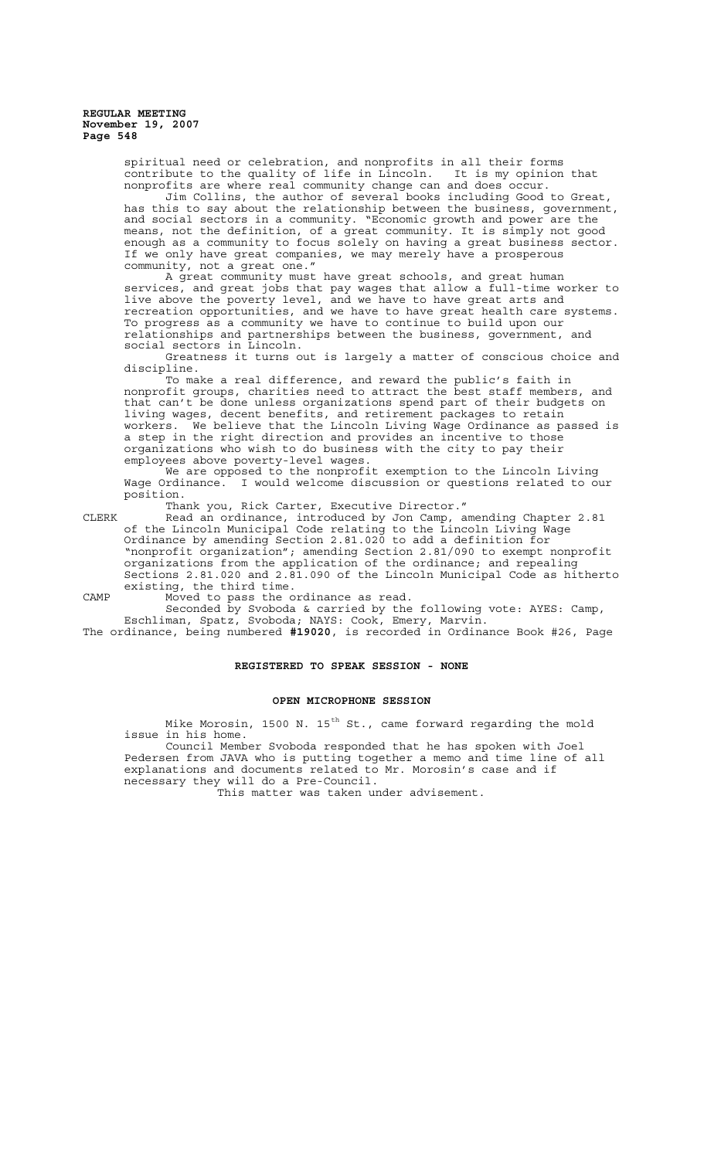> spiritual need or celebration, and nonprofits in all their forms contribute to the quality of life in Lincoln. It is my opinion that nonprofits are where real community change can and does occur.

Jim Collins, the author of several books including Good to Great, has this to say about the relationship between the business, government, and social sectors in a community. "Economic growth and power are the means, not the definition, of a great community. It is simply not good enough as a community to focus solely on having a great business sector. If we only have great companies, we may merely have a prosperous community, not a great one."

A great community must have great schools, and great human services, and great jobs that pay wages that allow a full-time worker to live above the poverty level, and we have to have great arts and recreation opportunities, and we have to have great health care systems. To progress as a community we have to continue to build upon our relationships and partnerships between the business, government, and social sectors in Lincoln.

Greatness it turns out is largely a matter of conscious choice and discipline.

To make a real difference, and reward the public's faith in nonprofit groups, charities need to attract the best staff members, and that can't be done unless organizations spend part of their budgets on living wages, decent benefits, and retirement packages to retain workers. We believe that the Lincoln Living Wage Ordinance as passed is a step in the right direction and provides an incentive to those organizations who wish to do business with the city to pay their employees above poverty-level wages.

We are opposed to the nonprofit exemption to the Lincoln Living Wage Ordinance. I would welcome discussion or questions related to our position.

Thank you, Rick Carter, Executive Director."

CLERK Read an ordinance, introduced by Jon Camp, amending Chapter 2.81 of the Lincoln Municipal Code relating to the Lincoln Living Wage Ordinance by amending Section 2.81.020 to add a definition for "nonprofit organization"; amending Section 2.81/090 to exempt nonprofit organizations from the application of the ordinance; and repealing Sections 2.81.020 and 2.81.090 of the Lincoln Municipal Code as hitherto existing, the third time.

CAMP Moved to pass the ordinance as read.

Seconded by Svoboda & carried by the following vote: AYES: Camp, Eschliman, Spatz, Svoboda; NAYS: Cook, Emery, Marvin.

The ordinance, being numbered **#19020**, is recorded in Ordinance Book #26, Page

#### **REGISTERED TO SPEAK SESSION - NONE**

## **OPEN MICROPHONE SESSION**

Mike Morosin, 1500 N. 15<sup>th</sup> St., came forward regarding the mold issue in his home.

Council Member Svoboda responded that he has spoken with Joel Pedersen from JAVA who is putting together a memo and time line of all explanations and documents related to Mr. Morosin's case and if necessary they will do a Pre-Council.

This matter was taken under advisement.